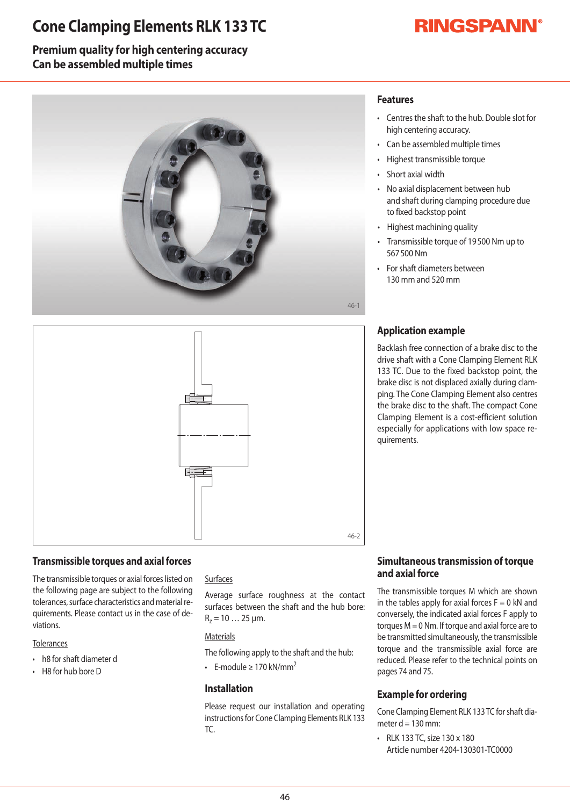## **Cone Clamping Elements RLK 133 TC**

# **RINGSPANN®**

### **Premium quality for high centering accuracy Can be assembled multiple times**





### **Transmissible torques and axial forces**

The transmissible torques or axial forces listed on the following page are subject to the following tolerances, surface characteristics and material requirements. Please contact us in the case of deviations.

#### **Tolerances**

- h8 for shaft diameter d
- $\cdot$  H8 for hub bore D

#### Surfaces

Average surface roughness at the contact surfaces between the shaft and the hub bore:  $R_z = 10...25 \mu m$ .

#### **Materials**

The following apply to the shaft and the hub:

• F-module > 170 kN/mm<sup>2</sup>

#### **Installation**

Please request our installation and operating instructions for Cone Clamping Elements RLK 133 TC.

### **Features**

- Centres the shaft to the hub. Double slot for high centering accuracy.
- Can be assembled multiple times
- Highest transmissible torque
- Short axial width
- No axial displacement between hub and shaft during clamping procedure due to fixed backstop point
- Highest machining quality
- Transmissible torque of 19500 Nm up to 567500Nm
- For shaft diameters between 130mm and520mm

## **Application example**

Backlash free connection of a brake disc to the drive shaft with a Cone Clamping Element RLK 133TC. Due to the fixed backstop point, the brake disc is not displaced axially during clamping. The Cone Clamping Element also centres the brake disc to the shaft. The compact Cone Clamping Element is a cost-efficient solution especially for applications with low space requirements.

#### **Simultaneous transmission of torque and axial force**

The transmissible torques M which are shownin the tables apply for axial forces  $F=0$  kN and conversely, the indicated axial forces F apply to torques  $M = 0$  Nm. If torque and axial force are to be transmitted simultaneously, the transmissible torque and the transmissible axial force are reduced. Please refer to the technical points on pages 74 and 75.

### **Example for ordering**

Cone Clamping Element RLK 133 TC for shaft diameter  $d = 130$  mm:

• RLK 133 TC, size 130 x 180 Article number 4204-130301-TC0000